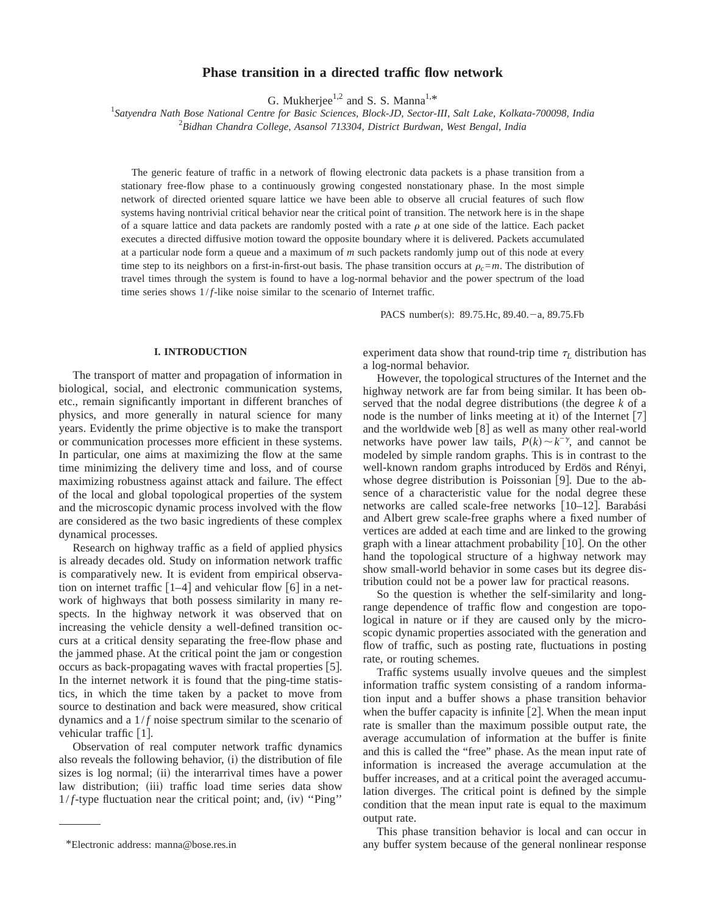# **Phase transition in a directed traffic flow network**

G. Mukherjee<sup>1,2</sup> and S. S. Manna<sup>1,\*</sup>

*Satyendra Nath Bose National Centre for Basic Sciences, Block-JD, Sector-III, Salt Lake, Kolkata-700098, India* 2 *Bidhan Chandra College, Asansol 713304, District Burdwan, West Bengal, India*

The generic feature of traffic in a network of flowing electronic data packets is a phase transition from a stationary free-flow phase to a continuously growing congested nonstationary phase. In the most simple network of directed oriented square lattice we have been able to observe all crucial features of such flow systems having nontrivial critical behavior near the critical point of transition. The network here is in the shape of a square lattice and data packets are randomly posted with a rate  $\rho$  at one side of the lattice. Each packet executes a directed diffusive motion toward the opposite boundary where it is delivered. Packets accumulated at a particular node form a queue and a maximum of *m* such packets randomly jump out of this node at every time step to its neighbors on a first-in-first-out basis. The phase transition occurs at  $\rho_c = m$ . The distribution of travel times through the system is found to have a log-normal behavior and the power spectrum of the load time series shows  $1/f$ -like noise similar to the scenario of Internet traffic.

PACS number(s):  $89.75$ .Hc,  $89.40 - a$ ,  $89.75$ .Fb

### **I. INTRODUCTION**

The transport of matter and propagation of information in biological, social, and electronic communication systems, etc., remain significantly important in different branches of physics, and more generally in natural science for many years. Evidently the prime objective is to make the transport or communication processes more efficient in these systems. In particular, one aims at maximizing the flow at the same time minimizing the delivery time and loss, and of course maximizing robustness against attack and failure. The effect of the local and global topological properties of the system and the microscopic dynamic process involved with the flow are considered as the two basic ingredients of these complex dynamical processes.

Research on highway traffic as a field of applied physics is already decades old. Study on information network traffic is comparatively new. It is evident from empirical observation on internet traffic  $\lceil 1-4 \rceil$  and vehicular flow  $\lceil 6 \rceil$  in a network of highways that both possess similarity in many respects. In the highway network it was observed that on increasing the vehicle density a well-defined transition occurs at a critical density separating the free-flow phase and the jammed phase. At the critical point the jam or congestion occurs as back-propagating waves with fractal properties  $[5]$ . In the internet network it is found that the ping-time statistics, in which the time taken by a packet to move from source to destination and back were measured, show critical dynamics and a  $1/f$  noise spectrum similar to the scenario of vehicular traffic  $[1]$ .

Observation of real computer network traffic dynamics also reveals the following behavior,  $(i)$  the distribution of file sizes is log normal; (ii) the interarrival times have a power law distribution; (iii) traffic load time series data show  $1/f$ -type fluctuation near the critical point; and, (iv) "Ping"

experiment data show that round-trip time  $\tau_L$  distribution has a log-normal behavior.

However, the topological structures of the Internet and the highway network are far from being similar. It has been observed that the nodal degree distributions (the degree  $k$  of a node is the number of links meeting at it) of the Internet  $[7]$ and the worldwide web  $\lceil 8 \rceil$  as well as many other real-world networks have power law tails,  $P(k) \sim k^{-\gamma}$ , and cannot be modeled by simple random graphs. This is in contrast to the well-known random graphs introduced by Erdös and Rényi, whose degree distribution is Poissonian  $[9]$ . Due to the absence of a characteristic value for the nodal degree these networks are called scale-free networks [10–12]. Barabási and Albert grew scale-free graphs where a fixed number of vertices are added at each time and are linked to the growing graph with a linear attachment probability  $[10]$ . On the other hand the topological structure of a highway network may show small-world behavior in some cases but its degree distribution could not be a power law for practical reasons.

So the question is whether the self-similarity and longrange dependence of traffic flow and congestion are topological in nature or if they are caused only by the microscopic dynamic properties associated with the generation and flow of traffic, such as posting rate, fluctuations in posting rate, or routing schemes.

Traffic systems usually involve queues and the simplest information traffic system consisting of a random information input and a buffer shows a phase transition behavior when the buffer capacity is infinite  $[2]$ . When the mean input rate is smaller than the maximum possible output rate, the average accumulation of information at the buffer is finite and this is called the "free" phase. As the mean input rate of information is increased the average accumulation at the buffer increases, and at a critical point the averaged accumulation diverges. The critical point is defined by the simple condition that the mean input rate is equal to the maximum output rate.

This phase transition behavior is local and can occur in \*Electronic address: manna@bose.res.in any buffer system because of the general nonlinear response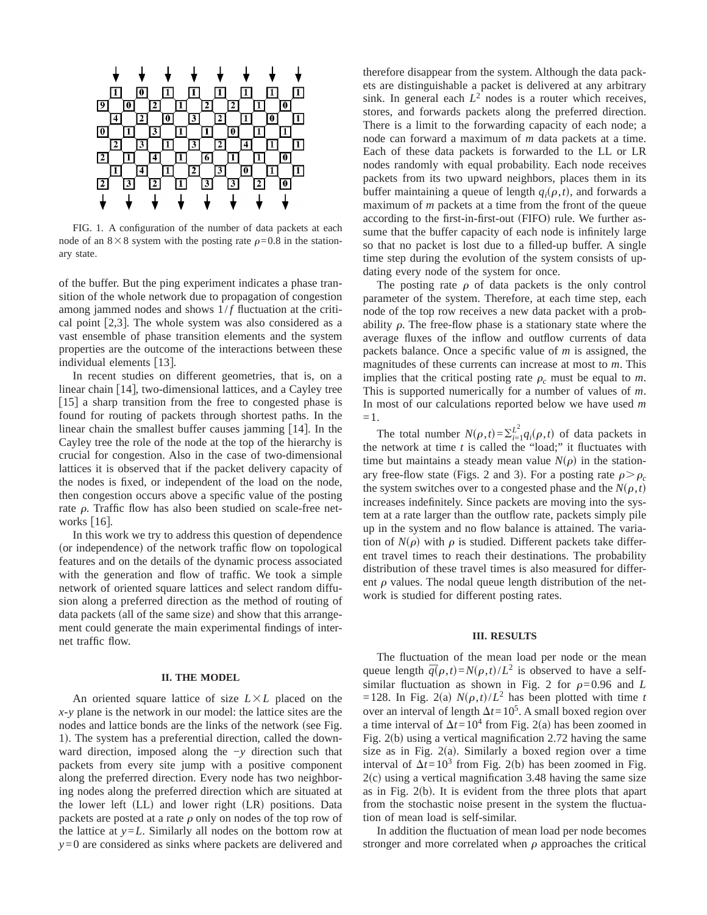

FIG. 1. A configuration of the number of data packets at each node of an  $8\times8$  system with the posting rate  $\rho=0.8$  in the stationary state.

of the buffer. But the ping experiment indicates a phase transition of the whole network due to propagation of congestion among jammed nodes and shows  $1/f$  fluctuation at the critical point  $[2,3]$ . The whole system was also considered as a vast ensemble of phase transition elements and the system properties are the outcome of the interactions between these individual elements  $[13]$ .

In recent studies on different geometries, that is, on a linear chain  $[14]$ , two-dimensional lattices, and a Cayley tree [15] a sharp transition from the free to congested phase is found for routing of packets through shortest paths. In the linear chain the smallest buffer causes jamming  $[14]$ . In the Cayley tree the role of the node at the top of the hierarchy is crucial for congestion. Also in the case of two-dimensional lattices it is observed that if the packet delivery capacity of the nodes is fixed, or independent of the load on the node, then congestion occurs above a specific value of the posting rate  $\rho$ . Traffic flow has also been studied on scale-free networks  $[16]$ .

In this work we try to address this question of dependence (or independence) of the network traffic flow on topological features and on the details of the dynamic process associated with the generation and flow of traffic. We took a simple network of oriented square lattices and select random diffusion along a preferred direction as the method of routing of data packets (all of the same size) and show that this arrangement could generate the main experimental findings of internet traffic flow.

#### **II. THE MODEL**

An oriented square lattice of size  $L \times L$  placed on the *x*-*y* plane is the network in our model: the lattice sites are the nodes and lattice bonds are the links of the network (see Fig. 1). The system has a preferential direction, called the downward direction, imposed along the −*y* direction such that packets from every site jump with a positive component along the preferred direction. Every node has two neighboring nodes along the preferred direction which are situated at the lower left  $(LL)$  and lower right  $(LR)$  positions. Data packets are posted at a rate  $\rho$  only on nodes of the top row of the lattice at  $y = L$ . Similarly all nodes on the bottom row at *y*=0 are considered as sinks where packets are delivered and therefore disappear from the system. Although the data packets are distinguishable a packet is delivered at any arbitrary sink. In general each  $L^2$  nodes is a router which receives, stores, and forwards packets along the preferred direction. There is a limit to the forwarding capacity of each node; a node can forward a maximum of *m* data packets at a time. Each of these data packets is forwarded to the LL or LR nodes randomly with equal probability. Each node receives packets from its two upward neighbors, places them in its buffer maintaining a queue of length  $q_i(\rho, t)$ , and forwards a maximum of *m* packets at a time from the front of the queue according to the first-in-first-out (FIFO) rule. We further assume that the buffer capacity of each node is infinitely large so that no packet is lost due to a filled-up buffer. A single time step during the evolution of the system consists of updating every node of the system for once.

The posting rate  $\rho$  of data packets is the only control parameter of the system. Therefore, at each time step, each node of the top row receives a new data packet with a probability  $\rho$ . The free-flow phase is a stationary state where the average fluxes of the inflow and outflow currents of data packets balance. Once a specific value of *m* is assigned, the magnitudes of these currents can increase at most to *m*. This implies that the critical posting rate  $\rho_c$  must be equal to *m*. This is supported numerically for a number of values of *m*. In most of our calculations reported below we have used *m* =1.

The total number  $N(\rho, t) = \sum_{i=1}^{L^2} q_i(\rho, t)$  of data packets in the network at time *t* is called the "load;" it fluctuates with time but maintains a steady mean value  $N(\rho)$  in the stationary free-flow state (Figs. 2 and 3). For a posting rate  $\rho > \rho_c$ . the system switches over to a congested phase and the  $N(\rho, t)$ increases indefinitely. Since packets are moving into the system at a rate larger than the outflow rate, packets simply pile up in the system and no flow balance is attained. The variation of  $N(\rho)$  with  $\rho$  is studied. Different packets take different travel times to reach their destinations. The probability distribution of these travel times is also measured for different  $\rho$  values. The nodal queue length distribution of the network is studied for different posting rates.

## **III. RESULTS**

The fluctuation of the mean load per node or the mean queue length  $\bar{q}(\rho, t) = N(\rho, t)/L^2$  is observed to have a selfsimilar fluctuation as shown in Fig. 2 for  $\rho=0.96$  and *L* =128. In Fig. 2(a)  $N(\rho, t)/L^2$  has been plotted with time *t* over an interval of length  $\Delta t = 10^5$ . A small boxed region over a time interval of  $\Delta t = 10^4$  from Fig. 2(a) has been zoomed in Fig.  $2(b)$  using a vertical magnification 2.72 having the same size as in Fig.  $2(a)$ . Similarly a boxed region over a time interval of  $\Delta t = 10^3$  from Fig. 2(b) has been zoomed in Fig.  $2(c)$  using a vertical magnification 3.48 having the same size as in Fig.  $2(b)$ . It is evident from the three plots that apart from the stochastic noise present in the system the fluctuation of mean load is self-similar.

In addition the fluctuation of mean load per node becomes stronger and more correlated when  $\rho$  approaches the critical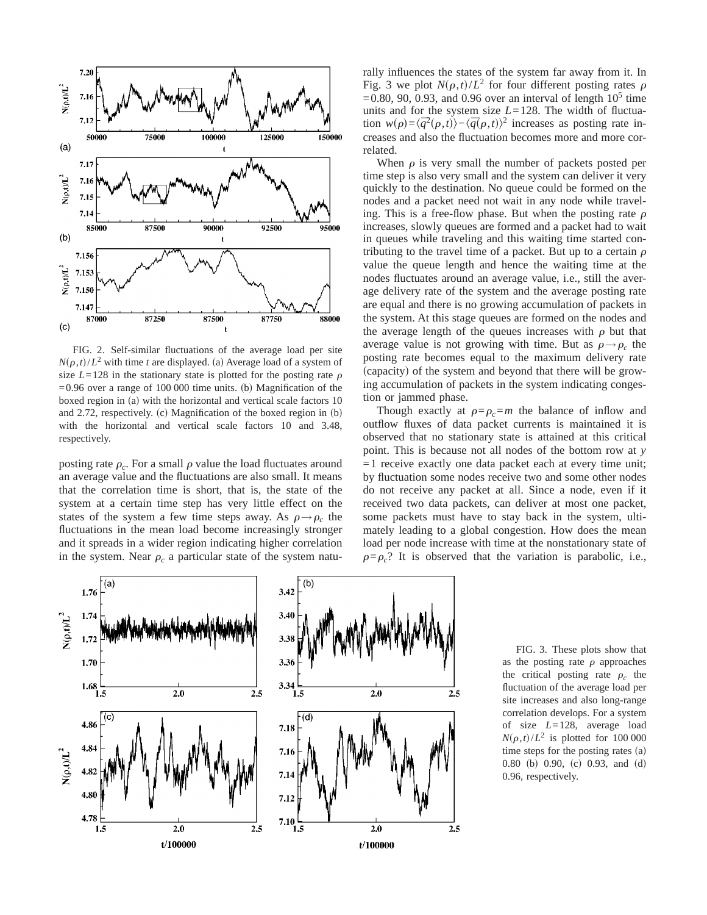

FIG. 2. Self-similar fluctuations of the average load per site  $N(\rho,t)/L^2$  with time *t* are displayed. (a) Average load of a system of size  $L=128$  in the stationary state is plotted for the posting rate  $\rho$  $=0.96$  over a range of 100 000 time units. (b) Magnification of the boxed region in  $(a)$  with the horizontal and vertical scale factors 10 and 2.72, respectively. (c) Magnification of the boxed region in  $(b)$ with the horizontal and vertical scale factors 10 and 3.48, respectively.

posting rate  $\rho_c$ . For a small  $\rho$  value the load fluctuates around an average value and the fluctuations are also small. It means that the correlation time is short, that is, the state of the system at a certain time step has very little effect on the states of the system a few time steps away. As  $\rho \rightarrow \rho_c$  the fluctuations in the mean load become increasingly stronger and it spreads in a wider region indicating higher correlation in the system. Near  $\rho_c$  a particular state of the system naturally influences the states of the system far away from it. In Fig. 3 we plot  $N(\rho,t)/L^2$  for four different posting rates  $\rho$  $=0.80$ , 90, 0.93, and 0.96 over an interval of length  $10<sup>5</sup>$  time units and for the system size *L*=128. The width of fluctuation  $w(\rho) = \langle \overline{q}^2(\rho, t) \rangle - \langle \overline{q}(\rho, t) \rangle^2$  increases as posting rate increases and also the fluctuation becomes more and more correlated.

When  $\rho$  is very small the number of packets posted per time step is also very small and the system can deliver it very quickly to the destination. No queue could be formed on the nodes and a packet need not wait in any node while traveling. This is a free-flow phase. But when the posting rate  $\rho$ increases, slowly queues are formed and a packet had to wait in queues while traveling and this waiting time started contributing to the travel time of a packet. But up to a certain  $\rho$ value the queue length and hence the waiting time at the nodes fluctuates around an average value, i.e., still the average delivery rate of the system and the average posting rate are equal and there is no growing accumulation of packets in the system. At this stage queues are formed on the nodes and the average length of the queues increases with  $\rho$  but that average value is not growing with time. But as  $\rho \rightarrow \rho_c$  the posting rate becomes equal to the maximum delivery rate (capacity) of the system and beyond that there will be growing accumulation of packets in the system indicating congestion or jammed phase.

Though exactly at  $\rho = \rho_c = m$  the balance of inflow and outflow fluxes of data packet currents is maintained it is observed that no stationary state is attained at this critical point. This is because not all nodes of the bottom row at *y*  $=1$  receive exactly one data packet each at every time unit; by fluctuation some nodes receive two and some other nodes do not receive any packet at all. Since a node, even if it received two data packets, can deliver at most one packet, some packets must have to stay back in the system, ultimately leading to a global congestion. How does the mean load per node increase with time at the nonstationary state of  $\rho = \rho_c$ ? It is observed that the variation is parabolic, i.e.,



FIG. 3. These plots show that as the posting rate  $\rho$  approaches the critical posting rate  $\rho_c$  the fluctuation of the average load per site increases and also long-range correlation develops. For a system of size *L*=128, average load  $N(\rho, t)/L^2$  is plotted for 100 000 time steps for the posting rates  $(a)$  $0.80$  (b)  $0.90$ , (c)  $0.93$ , and (d) 0.96, respectively.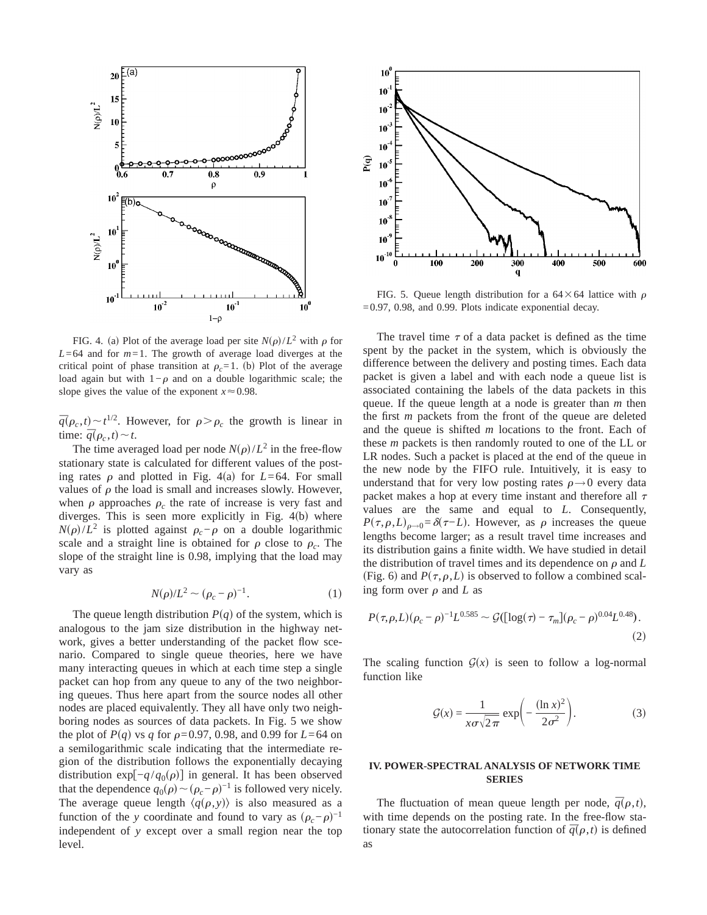

FIG. 4. (a) Plot of the average load per site  $N(\rho)/L^2$  with  $\rho$  for  $L=64$  and for  $m=1$ . The growth of average load diverges at the critical point of phase transition at  $\rho_c=1$ . (b) Plot of the average load again but with  $1-\rho$  and on a double logarithmic scale; the slope gives the value of the exponent  $x \approx 0.98$ .

 $\bar{q}(\rho_c, t) \sim t^{1/2}$ . However, for  $\rho > \rho_c$  the growth is linear in time:  $\overline{q}(\rho_c, t) \sim t$ .

The time averaged load per node  $N(\rho)/L^2$  in the free-flow stationary state is calculated for different values of the posting rates  $\rho$  and plotted in Fig. 4(a) for *L*=64. For small values of  $\rho$  the load is small and increases slowly. However, when  $\rho$  approaches  $\rho_c$  the rate of increase is very fast and diverges. This is seen more explicitly in Fig.  $4(b)$  where *N*( $\rho$ )/*L*<sup>2</sup> is plotted against  $\rho_c$ − $\rho$  on a double logarithmic scale and a straight line is obtained for  $\rho$  close to  $\rho_c$ . The slope of the straight line is 0.98, implying that the load may vary as

$$
N(\rho)/L^2 \sim (\rho_c - \rho)^{-1}.
$$
 (1)

The queue length distribution  $P(q)$  of the system, which is analogous to the jam size distribution in the highway network, gives a better understanding of the packet flow scenario. Compared to single queue theories, here we have many interacting queues in which at each time step a single packet can hop from any queue to any of the two neighboring queues. Thus here apart from the source nodes all other nodes are placed equivalently. They all have only two neighboring nodes as sources of data packets. In Fig. 5 we show the plot of  $P(q)$  vs *q* for  $\rho$ =0.97, 0.98, and 0.99 for *L*=64 on a semilogarithmic scale indicating that the intermediate region of the distribution follows the exponentially decaying distribution exp[ $-q/q_0(\rho)$ ] in general. It has been observed that the dependence  $q_0(\rho) \sim (\rho_c - \rho)^{-1}$  is followed very nicely. The average queue length  $\langle q(\rho, y) \rangle$  is also measured as a function of the *y* coordinate and found to vary as  $(\rho_c - \rho)^{-1}$ independent of *y* except over a small region near the top level.



FIG. 5. Queue length distribution for a  $64 \times 64$  lattice with  $\rho$  $=0.97$ , 0.98, and 0.99. Plots indicate exponential decay.

The travel time  $\tau$  of a data packet is defined as the time spent by the packet in the system, which is obviously the difference between the delivery and posting times. Each data packet is given a label and with each node a queue list is associated containing the labels of the data packets in this queue. If the queue length at a node is greater than *m* then the first *m* packets from the front of the queue are deleted and the queue is shifted *m* locations to the front. Each of these *m* packets is then randomly routed to one of the LL or LR nodes. Such a packet is placed at the end of the queue in the new node by the FIFO rule. Intuitively, it is easy to understand that for very low posting rates  $\rho \rightarrow 0$  every data packet makes a hop at every time instant and therefore all  $\tau$ values are the same and equal to *L*. Consequently,  $P(\tau,\rho,L)_{\rho\to 0} = \delta(\tau-L)$ . However, as  $\rho$  increases the queue lengths become larger; as a result travel time increases and its distribution gains a finite width. We have studied in detail the distribution of travel times and its dependence on  $\rho$  and  $L$ (Fig. 6) and  $P(\tau,\rho,L)$  is observed to follow a combined scaling form over  $\rho$  and  $L$  as

$$
P(\tau,\rho,L)(\rho_c-\rho)^{-1}L^{0.585} \sim \mathcal{G}([\log(\tau)-\tau_m](\rho_c-\rho)^{0.04}L^{0.48}).
$$
\n(2)

The scaling function  $G(x)$  is seen to follow a log-normal function like

$$
\mathcal{G}(x) = \frac{1}{x\sigma\sqrt{2\pi}} \exp\left(-\frac{(\ln x)^2}{2\sigma^2}\right).
$$
 (3)

# **IV. POWER-SPECTRAL ANALYSIS OF NETWORK TIME SERIES**

The fluctuation of mean queue length per node,  $\bar{q}(\rho, t)$ , with time depends on the posting rate. In the free-flow stationary state the autocorrelation function of  $\bar{q}(\rho, t)$  is defined as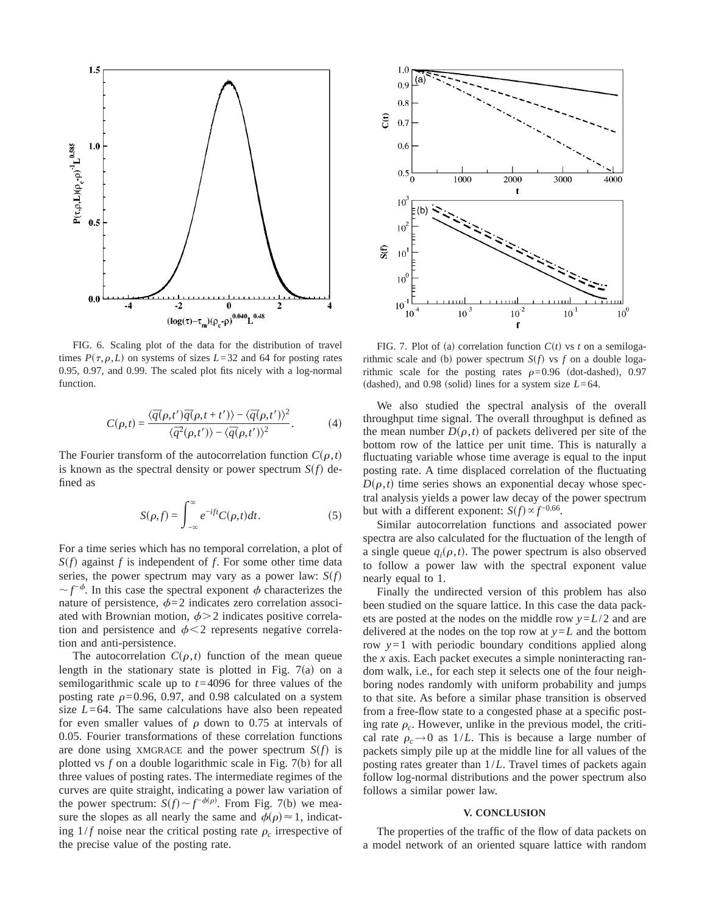

FIG. 6. Scaling plot of the data for the distribution of travel times  $P(\tau, \rho, L)$  on systems of sizes  $L=32$  and 64 for posting rates 0.95, 0.97, and 0.99. The scaled plot fits nicely with a log-normal function.

$$
C(\rho,t) = \frac{\langle \overline{q}(\rho,t')\overline{q}(\rho,t+t')\rangle - \langle \overline{q}(\rho,t')\rangle^2}{\langle \overline{q}^2(\rho,t')\rangle - \langle \overline{q}(\rho,t')\rangle^2}.
$$
 (4)

The Fourier transform of the autocorrelation function  $C(\rho, t)$ is known as the spectral density or power spectrum  $S(f)$  defined as

$$
S(\rho, f) = \int_{-\infty}^{\infty} e^{-ift} C(\rho, t) dt.
$$
 (5)

For a time series which has no temporal correlation, a plot of  $S(f)$  against *f* is independent of *f*. For some other time data series, the power spectrum may vary as a power law:  $S(f)$  $\sim$  *f*<sup>- $\phi$ </sup>. In this case the spectral exponent  $\phi$  characterizes the nature of persistence,  $\phi$ =2 indicates zero correlation associated with Brownian motion,  $\phi > 2$  indicates positive correlation and persistence and  $\phi$ <2 represents negative correlation and anti-persistence.

The autocorrelation  $C(\rho,t)$  function of the mean queue length in the stationary state is plotted in Fig.  $7(a)$  on a semilogarithmic scale up to *t*=4096 for three values of the posting rate  $\rho$ =0.96, 0.97, and 0.98 calculated on a system size *L*=64. The same calculations have also been repeated for even smaller values of  $\rho$  down to 0.75 at intervals of 0.05. Fourier transformations of these correlation functions are done using XMGRACE and the power spectrum  $S(f)$  is plotted vs  $f$  on a double logarithmic scale in Fig.  $7(b)$  for all three values of posting rates. The intermediate regimes of the curves are quite straight, indicating a power law variation of the power spectrum:  $S(f) \sim f^{-\phi(\rho)}$ . From Fig. 7(b) we measure the slopes as all nearly the same and  $\phi(\rho) \approx 1$ , indicating  $1/f$  noise near the critical posting rate  $\rho_c$  irrespective of the precise value of the posting rate.



FIG. 7. Plot of (a) correlation function  $C(t)$  vs *t* on a semilogarithmic scale and (b) power spectrum  $S(f)$  vs *f* on a double logarithmic scale for the posting rates  $\rho=0.96$  (dot-dashed), 0.97 (dashed), and 0.98 (solid) lines for a system size  $L=64$ .

We also studied the spectral analysis of the overall throughput time signal. The overall throughput is defined as the mean number  $D(\rho, t)$  of packets delivered per site of the bottom row of the lattice per unit time. This is naturally a fluctuating variable whose time average is equal to the input posting rate. A time displaced correlation of the fluctuating  $D(\rho, t)$  time series shows an exponential decay whose spectral analysis yields a power law decay of the power spectrum but with a different exponent:  $S(f) \propto f^{-0.66}$ .

Similar autocorrelation functions and associated power spectra are also calculated for the fluctuation of the length of a single queue  $q_i(\rho, t)$ . The power spectrum is also observed to follow a power law with the spectral exponent value nearly equal to 1.

Finally the undirected version of this problem has also been studied on the square lattice. In this case the data packets are posted at the nodes on the middle row *y*=*L*/2 and are delivered at the nodes on the top row at  $y = L$  and the bottom row *y*=1 with periodic boundary conditions applied along the *x* axis. Each packet executes a simple noninteracting random walk, i.e., for each step it selects one of the four neighboring nodes randomly with uniform probability and jumps to that site. As before a similar phase transition is observed from a free-flow state to a congested phase at a specific posting rate  $\rho_c$ . However, unlike in the previous model, the critical rate  $\rho_c \rightarrow 0$  as 1/*L*. This is because a large number of packets simply pile up at the middle line for all values of the posting rates greater than 1/*L*. Travel times of packets again follow log-normal distributions and the power spectrum also follows a similar power law.

#### **V. CONCLUSION**

The properties of the traffic of the flow of data packets on a model network of an oriented square lattice with random